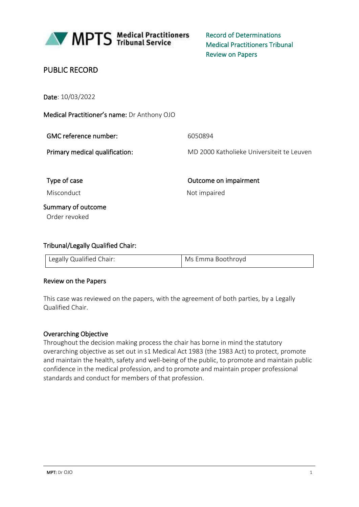

MPTS Medical Practitioners

Record of Determinations Medical Practitioners Tribunal Review on Papers

## PUBLIC RECORD

Date: 10/03/2022

Medical Practitioner's name: Dr Anthony OJO

| GMC reference number:          | 6050894                                   |
|--------------------------------|-------------------------------------------|
| Primary medical qualification: | MD 2000 Katholieke Universiteit te Leuven |
| Type of case                   | Outcome on impairment                     |

Misconduct Not impaired

# Summary of outcome

Order revoked

## Tribunal/Legally Qualified Chair:

| Legally Qualified Chair: | Ms Emma Boothroyd |
|--------------------------|-------------------|

#### Review on the Papers

This case was reviewed on the papers, with the agreement of both parties, by a Legally Qualified Chair.

#### Overarching Objective

Throughout the decision making process the chair has borne in mind the statutory overarching objective as set out in s1 Medical Act 1983 (the 1983 Act) to protect, promote and maintain the health, safety and well-being of the public, to promote and maintain public confidence in the medical profession, and to promote and maintain proper professional standards and conduct for members of that profession.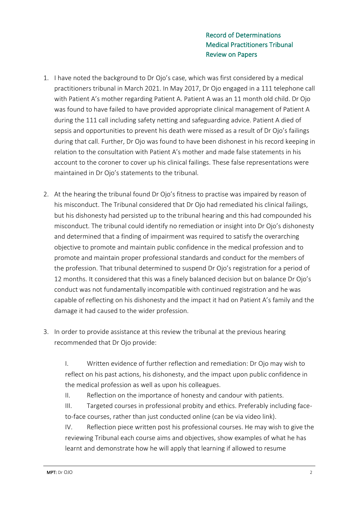- 1. I have noted the background to Dr Ojo's case, which was first considered by a medical practitioners tribunal in March 2021. In May 2017, Dr Ojo engaged in a 111 telephone call with Patient A's mother regarding Patient A. Patient A was an 11 month old child. Dr Ojo was found to have failed to have provided appropriate clinical management of Patient A during the 111 call including safety netting and safeguarding advice. Patient A died of sepsis and opportunities to prevent his death were missed as a result of Dr Ojo's failings during that call. Further, Dr Ojo was found to have been dishonest in his record keeping in relation to the consultation with Patient A's mother and made false statements in his account to the coroner to cover up his clinical failings. These false representations were maintained in Dr Ojo's statements to the tribunal.
- 2. At the hearing the tribunal found Dr Ojo's fitness to practise was impaired by reason of his misconduct. The Tribunal considered that Dr Ojo had remediated his clinical failings, but his dishonesty had persisted up to the tribunal hearing and this had compounded his misconduct. The tribunal could identify no remediation or insight into Dr Ojo's dishonesty and determined that a finding of impairment was required to satisfy the overarching objective to promote and maintain public confidence in the medical profession and to promote and maintain proper professional standards and conduct for the members of the profession. That tribunal determined to suspend Dr Ojo's registration for a period of 12 months. It considered that this was a finely balanced decision but on balance Dr Ojo's conduct was not fundamentally incompatible with continued registration and he was capable of reflecting on his dishonesty and the impact it had on Patient A's family and the damage it had caused to the wider profession.
- 3. In order to provide assistance at this review the tribunal at the previous hearing recommended that Dr Ojo provide:

I. Written evidence of further reflection and remediation: Dr Ojo may wish to reflect on his past actions, his dishonesty, and the impact upon public confidence in the medical profession as well as upon his colleagues.

II. Reflection on the importance of honesty and candour with patients.

III. Targeted courses in professional probity and ethics. Preferably including faceto-face courses, rather than just conducted online (can be via video link).

IV. Reflection piece written post his professional courses. He may wish to give the reviewing Tribunal each course aims and objectives, show examples of what he has learnt and demonstrate how he will apply that learning if allowed to resume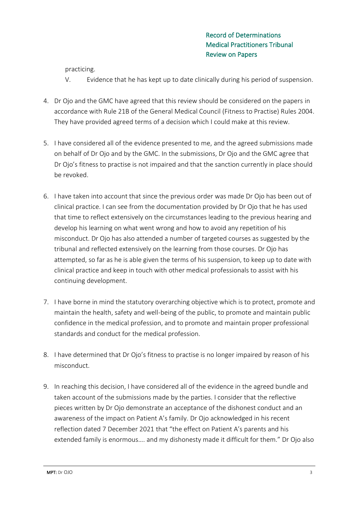practicing.

- V. Evidence that he has kept up to date clinically during his period of suspension.
- 4. Dr Ojo and the GMC have agreed that this review should be considered on the papers in accordance with Rule 21B of the General Medical Council (Fitness to Practise) Rules 2004. They have provided agreed terms of a decision which I could make at this review.
- 5. I have considered all of the evidence presented to me, and the agreed submissions made on behalf of Dr Ojo and by the GMC. In the submissions, Dr Ojo and the GMC agree that Dr Ojo's fitness to practise is not impaired and that the sanction currently in place should be revoked.
- 6. I have taken into account that since the previous order was made Dr Ojo has been out of clinical practice. I can see from the documentation provided by Dr Ojo that he has used that time to reflect extensively on the circumstances leading to the previous hearing and develop his learning on what went wrong and how to avoid any repetition of his misconduct. Dr Ojo has also attended a number of targeted courses as suggested by the tribunal and reflected extensively on the learning from those courses. Dr Ojo has attempted, so far as he is able given the terms of his suspension, to keep up to date with clinical practice and keep in touch with other medical professionals to assist with his continuing development.
- 7. I have borne in mind the statutory overarching objective which is to protect, promote and maintain the health, safety and well-being of the public, to promote and maintain public confidence in the medical profession, and to promote and maintain proper professional standards and conduct for the medical profession.
- 8. I have determined that Dr Ojo's fitness to practise is no longer impaired by reason of his misconduct.
- 9. In reaching this decision, I have considered all of the evidence in the agreed bundle and taken account of the submissions made by the parties. I consider that the reflective pieces written by Dr Ojo demonstrate an acceptance of the dishonest conduct and an awareness of the impact on Patient A's family. Dr Ojo acknowledged in his recent reflection dated 7 December 2021 that "the effect on Patient A's parents and his extended family is enormous…. and my dishonesty made it difficult for them." Dr Ojo also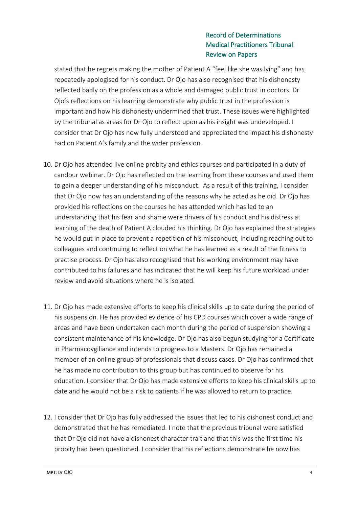stated that he regrets making the mother of Patient A "feel like she was lying" and has repeatedly apologised for his conduct. Dr Ojo has also recognised that his dishonesty reflected badly on the profession as a whole and damaged public trust in doctors. Dr Ojo's reflections on his learning demonstrate why public trust in the profession is important and how his dishonesty undermined that trust. These issues were highlighted by the tribunal as areas for Dr Ojo to reflect upon as his insight was undeveloped. I consider that Dr Ojo has now fully understood and appreciated the impact his dishonesty had on Patient A's family and the wider profession.

- 10. Dr Ojo has attended live online probity and ethics courses and participated in a duty of candour webinar. Dr Ojo has reflected on the learning from these courses and used them to gain a deeper understanding of his misconduct. As a result of this training, I consider that Dr Ojo now has an understanding of the reasons why he acted as he did. Dr Ojo has provided his reflections on the courses he has attended which has led to an understanding that his fear and shame were drivers of his conduct and his distress at learning of the death of Patient A clouded his thinking. Dr Ojo has explained the strategies he would put in place to prevent a repetition of his misconduct, including reaching out to colleagues and continuing to reflect on what he has learned as a result of the fitness to practise process. Dr Ojo has also recognised that his working environment may have contributed to his failures and has indicated that he will keep his future workload under review and avoid situations where he is isolated.
- 11. Dr Ojo has made extensive efforts to keep his clinical skills up to date during the period of his suspension. He has provided evidence of his CPD courses which cover a wide range of areas and have been undertaken each month during the period of suspension showing a consistent maintenance of his knowledge. Dr Ojo has also begun studying for a Certificate in Pharmacovgiliance and intends to progress to a Masters. Dr Ojo has remained a member of an online group of professionals that discuss cases. Dr Ojo has confirmed that he has made no contribution to this group but has continued to observe for his education. I consider that Dr Ojo has made extensive efforts to keep his clinical skills up to date and he would not be a risk to patients if he was allowed to return to practice.
- 12. I consider that Dr Ojo has fully addressed the issues that led to his dishonest conduct and demonstrated that he has remediated. I note that the previous tribunal were satisfied that Dr Ojo did not have a dishonest character trait and that this was the first time his probity had been questioned. I consider that his reflections demonstrate he now has